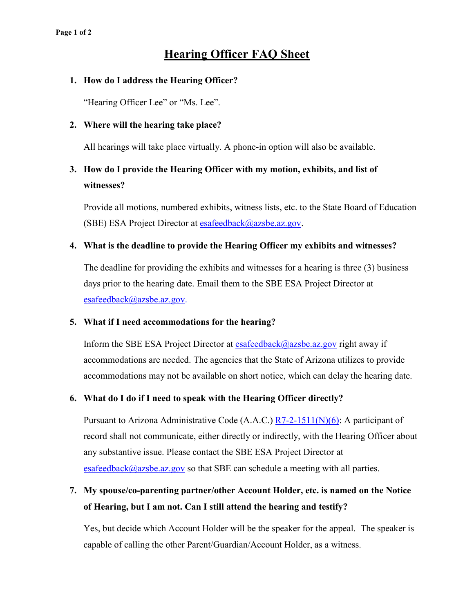# **Hearing Officer FAQ Sheet**

### **1. How do I address the Hearing Officer?**

"Hearing Officer Lee" or "Ms. Lee".

### **2. Where will the hearing take place?**

All hearings will take place virtually. A phone-in option will also be available.

## **3. How do I provide the Hearing Officer with my motion, exhibits, and list of witnesses?**

Provide all motions, numbered exhibits, witness lists, etc. to the State Board of Education (SBE) ESA Project Director at [esafeedback@azsbe.az.gov.](mailto:esafeedback@azsbe.az.gov)

## **4. What is the deadline to provide the Hearing Officer my exhibits and witnesses?**

The deadline for providing the exhibits and witnesses for a hearing is three (3) business days prior to the hearing date. Email them to the SBE ESA Project Director at [esafeedback@azsbe.az.gov.](mailto:esafeedback@azsbe.az.gov)

### **5. What if I need accommodations for the hearing?**

Inform the SBE ESA Project Director at **esafeedback@azsbe.az.gov** right away if accommodations are needed. The agencies that the State of Arizona utilizes to provide accommodations may not be available on short notice, which can delay the hearing date.

## **6. What do I do if I need to speak with the Hearing Officer directly?**

Pursuant to Arizona Administrative Code (A.A.C.)  $R7-2-1511(N)(6)$ : A participant of record shall not communicate, either directly or indirectly, with the Hearing Officer about any substantive issue. Please contact the SBE ESA Project Director at [esafeedback@azsbe.az.gov](mailto:esafeedback@azsbe.az.gov) so that SBE can schedule a meeting with all parties.

## **7. My spouse/co-parenting partner/other Account Holder, etc. is named on the Notice of Hearing, but I am not. Can I still attend the hearing and testify?**

Yes, but decide which Account Holder will be the speaker for the appeal. The speaker is capable of calling the other Parent/Guardian/Account Holder, as a witness.